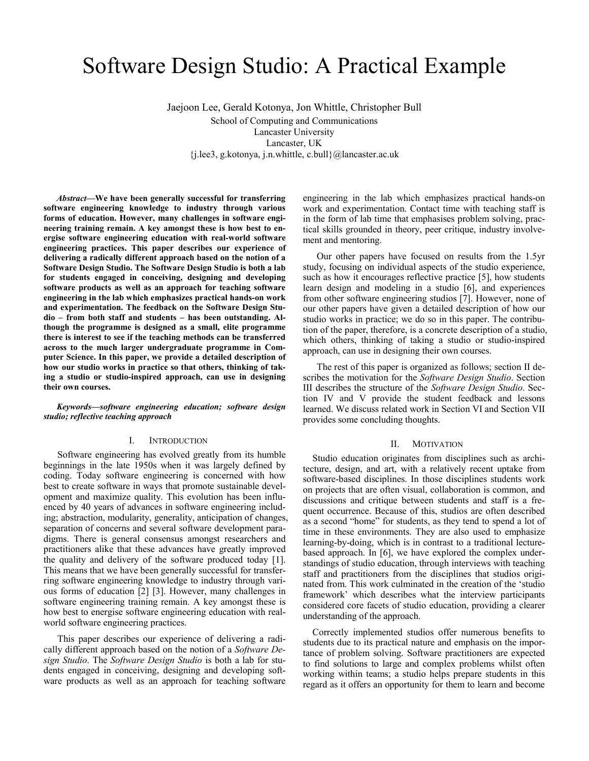# Software Design Studio: A Practical Example

Jaejoon Lee, Gerald Kotonya, Jon Whittle, Christopher Bull School of Computing and Communications Lancaster University Lancaster, UK {j.lee3, g.kotonya, j.n.whittle, c.bull}@lancaster.ac.uk

*Abstract***—We have been generally successful for transferring software engineering knowledge to industry through various forms of education. However, many challenges in software engineering training remain. A key amongst these is how best to energise software engineering education with real-world software engineering practices. This paper describes our experience of delivering a radically different approach based on the notion of a Software Design Studio. The Software Design Studio is both a lab for students engaged in conceiving, designing and developing software products as well as an approach for teaching software engineering in the lab which emphasizes practical hands-on work and experimentation. The feedback on the Software Design Studio – from both staff and students – has been outstanding. Although the programme is designed as a small, elite programme there is interest to see if the teaching methods can be transferred across to the much larger undergraduate programme in Computer Science. In this paper, we provide a detailed description of how our studio works in practice so that others, thinking of taking a studio or studio-inspired approach, can use in designing their own courses.** 

*Keywords—software engineering education; software design studio; reflective teaching approach* 

## I. INTRODUCTION

Software engineering has evolved greatly from its humble beginnings in the late 1950s when it was largely defined by coding. Today software engineering is concerned with how best to create software in ways that promote sustainable development and maximize quality. This evolution has been influenced by 40 years of advances in software engineering including; abstraction, modularity, generality, anticipation of changes, separation of concerns and several software development paradigms. There is general consensus amongst researchers and practitioners alike that these advances have greatly improved the quality and delivery of the software produced today [1]. This means that we have been generally successful for transferring software engineering knowledge to industry through various forms of education [2] [3]. However, many challenges in software engineering training remain. A key amongst these is how best to energise software engineering education with realworld software engineering practices.

This paper describes our experience of delivering a radically different approach based on the notion of a *Software Design Studio*. The *Software Design Studio* is both a lab for students engaged in conceiving, designing and developing software products as well as an approach for teaching software engineering in the lab which emphasizes practical hands-on work and experimentation. Contact time with teaching staff is in the form of lab time that emphasises problem solving, practical skills grounded in theory, peer critique, industry involvement and mentoring.

Our other papers have focused on results from the 1.5yr study, focusing on individual aspects of the studio experience, such as how it encourages reflective practice [5], how students learn design and modeling in a studio [6], and experiences from other software engineering studios [7]. However, none of our other papers have given a detailed description of how our studio works in practice; we do so in this paper. The contribution of the paper, therefore, is a concrete description of a studio, which others, thinking of taking a studio or studio-inspired approach, can use in designing their own courses.

The rest of this paper is organized as follows; section II describes the motivation for the *Software Design Studio*. Section III describes the structure of the *Software Design Studio*. Section IV and V provide the student feedback and lessons learned. We discuss related work in Section VI and Section VII provides some concluding thoughts.

## II. MOTIVATION

Studio education originates from disciplines such as architecture, design, and art, with a relatively recent uptake from software-based disciplines. In those disciplines students work on projects that are often visual, collaboration is common, and discussions and critique between students and staff is a frequent occurrence. Because of this, studios are often described as a second "home" for students, as they tend to spend a lot of time in these environments. They are also used to emphasize learning-by-doing, which is in contrast to a traditional lecturebased approach. In [6], we have explored the complex understandings of studio education, through interviews with teaching staff and practitioners from the disciplines that studios originated from. This work culminated in the creation of the 'studio framework' which describes what the interview participants considered core facets of studio education, providing a clearer understanding of the approach.

Correctly implemented studios offer numerous benefits to students due to its practical nature and emphasis on the importance of problem solving. Software practitioners are expected to find solutions to large and complex problems whilst often working within teams; a studio helps prepare students in this regard as it offers an opportunity for them to learn and become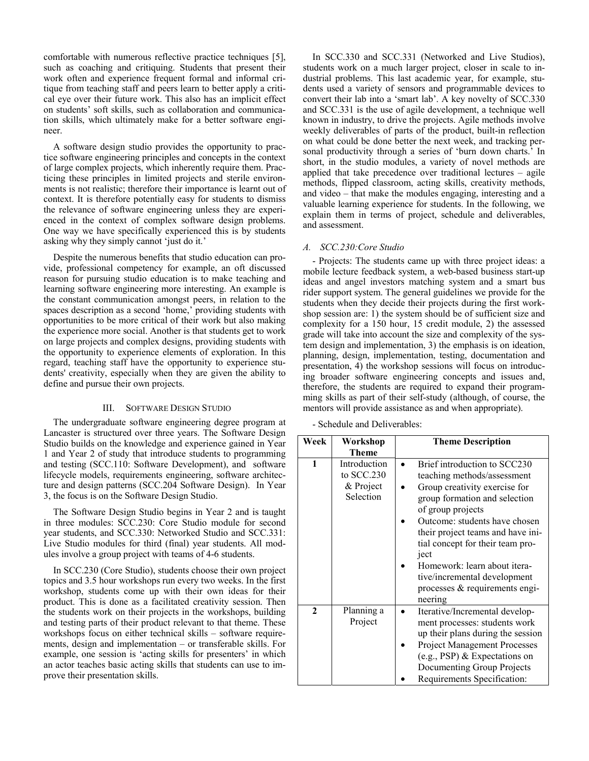comfortable with numerous reflective practice techniques [5], such as coaching and critiquing. Students that present their work often and experience frequent formal and informal critique from teaching staff and peers learn to better apply a critical eye over their future work. This also has an implicit effect on students' soft skills, such as collaboration and communication skills, which ultimately make for a better software engineer.

A software design studio provides the opportunity to practice software engineering principles and concepts in the context of large complex projects, which inherently require them. Practicing these principles in limited projects and sterile environments is not realistic; therefore their importance is learnt out of context. It is therefore potentially easy for students to dismiss the relevance of software engineering unless they are experienced in the context of complex software design problems. One way we have specifically experienced this is by students asking why they simply cannot 'just do it.'

Despite the numerous benefits that studio education can provide, professional competency for example, an oft discussed reason for pursuing studio education is to make teaching and learning software engineering more interesting. An example is the constant communication amongst peers, in relation to the spaces description as a second 'home,' providing students with opportunities to be more critical of their work but also making the experience more social. Another is that students get to work on large projects and complex designs, providing students with the opportunity to experience elements of exploration. In this regard, teaching staff have the opportunity to experience students' creativity, especially when they are given the ability to define and pursue their own projects.

## III. SOFTWARE DESIGN STUDIO

The undergraduate software engineering degree program at Lancaster is structured over three years. The Software Design Studio builds on the knowledge and experience gained in Year 1 and Year 2 of study that introduce students to programming and testing (SCC.110: Software Development), and software lifecycle models, requirements engineering, software architecture and design patterns (SCC.204 Software Design). In Year 3, the focus is on the Software Design Studio.

The Software Design Studio begins in Year 2 and is taught in three modules: SCC.230: Core Studio module for second year students, and SCC.330: Networked Studio and SCC.331: Live Studio modules for third (final) year students. All modules involve a group project with teams of 4-6 students.

In SCC.230 (Core Studio), students choose their own project topics and 3.5 hour workshops run every two weeks. In the first workshop, students come up with their own ideas for their product. This is done as a facilitated creativity session. Then the students work on their projects in the workshops, building and testing parts of their product relevant to that theme. These workshops focus on either technical skills – software requirements, design and implementation – or transferable skills. For example, one session is 'acting skills for presenters' in which an actor teaches basic acting skills that students can use to improve their presentation skills.

In SCC.330 and SCC.331 (Networked and Live Studios), students work on a much larger project, closer in scale to industrial problems. This last academic year, for example, students used a variety of sensors and programmable devices to convert their lab into a 'smart lab'. A key novelty of SCC.330 and SCC.331 is the use of agile development, a technique well known in industry, to drive the projects. Agile methods involve weekly deliverables of parts of the product, built-in reflection on what could be done better the next week, and tracking personal productivity through a series of 'burn down charts.' In short, in the studio modules, a variety of novel methods are applied that take precedence over traditional lectures – agile methods, flipped classroom, acting skills, creativity methods, and video – that make the modules engaging, interesting and a valuable learning experience for students. In the following, we explain them in terms of project, schedule and deliverables, and assessment.

## *A. SCC.230:Core Studio*

- Projects: The students came up with three project ideas: a mobile lecture feedback system, a web-based business start-up ideas and angel investors matching system and a smart bus rider support system. The general guidelines we provide for the students when they decide their projects during the first workshop session are: 1) the system should be of sufficient size and complexity for a 150 hour, 15 credit module, 2) the assessed grade will take into account the size and complexity of the system design and implementation, 3) the emphasis is on ideation, planning, design, implementation, testing, documentation and presentation, 4) the workshop sessions will focus on introducing broader software engineering concepts and issues and, therefore, the students are required to expand their programming skills as part of their self-study (although, of course, the mentors will provide assistance as and when appropriate).

- Schedule and Deliverables:

| Week         | Workshop                                               | <b>Theme Description</b>                                                                                                                                                                                                                                                                                                                                               |
|--------------|--------------------------------------------------------|------------------------------------------------------------------------------------------------------------------------------------------------------------------------------------------------------------------------------------------------------------------------------------------------------------------------------------------------------------------------|
|              | Theme                                                  |                                                                                                                                                                                                                                                                                                                                                                        |
| $\mathbf{1}$ | Introduction<br>to $SCC.230$<br>& Project<br>Selection | Brief introduction to SCC230<br>teaching methods/assessment<br>Group creativity exercise for<br>group formation and selection<br>of group projects<br>Outcome: students have chosen<br>their project teams and have ini-<br>tial concept for their team pro-<br>ject<br>Homework: learn about itera-<br>tive/incremental development<br>processes & requirements engi- |
| $\mathbf{2}$ | Planning a<br>Project                                  | neering<br>Iterative/Incremental develop-<br>ment processes: students work<br>up their plans during the session<br><b>Project Management Processes</b><br>(e.g., PSP) $&$ Expectations on<br>Documenting Group Projects<br>Requirements Specification:                                                                                                                 |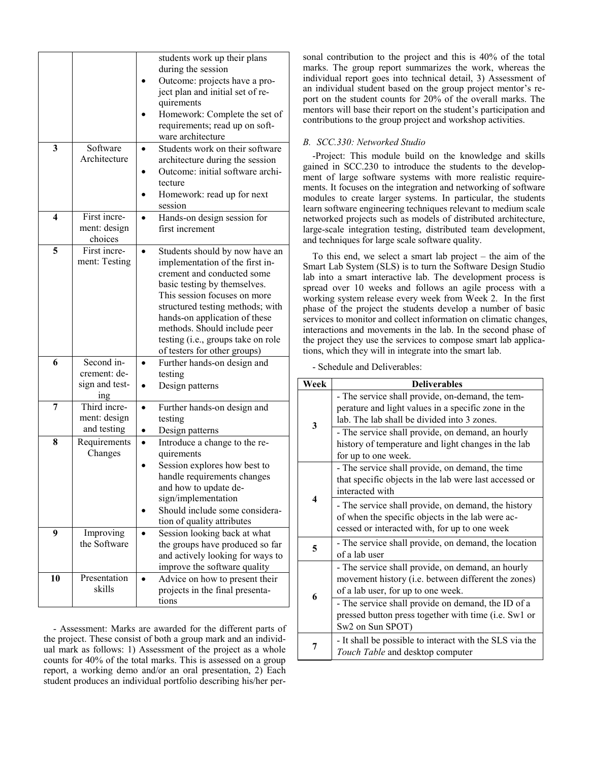|                |                              |           | students work up their plans                                        |
|----------------|------------------------------|-----------|---------------------------------------------------------------------|
|                |                              |           | during the session                                                  |
|                |                              |           | Outcome: projects have a pro-<br>ject plan and initial set of re-   |
|                |                              |           | quirements                                                          |
|                |                              |           | Homework: Complete the set of                                       |
|                |                              |           | requirements; read up on soft-                                      |
|                |                              |           | ware architecture                                                   |
| 3              | Software                     |           | Students work on their software                                     |
|                | Architecture                 |           | architecture during the session                                     |
|                |                              |           | Outcome: initial software archi-                                    |
|                |                              |           | tecture                                                             |
|                |                              |           | Homework: read up for next                                          |
| 4              | First incre-                 |           | session<br>Hands-on design session for                              |
|                | ment: design                 |           | first increment                                                     |
|                | choices                      |           |                                                                     |
| 5              | First incre-                 | $\bullet$ | Students should by now have an                                      |
|                | ment: Testing                |           | implementation of the first in-                                     |
|                |                              |           | crement and conducted some                                          |
|                |                              |           | basic testing by themselves.                                        |
|                |                              |           | This session focuses on more                                        |
|                |                              |           | structured testing methods; with<br>hands-on application of these   |
|                |                              |           | methods. Should include peer                                        |
|                |                              |           | testing (i.e., groups take on role                                  |
|                |                              |           | of testers for other groups)                                        |
| 6              | Second in-                   |           | Further hands-on design and                                         |
|                | crement: de-                 |           | testing                                                             |
|                | sign and test-               |           | Design patterns                                                     |
|                | ıng                          |           |                                                                     |
| $\overline{7}$ | Third incre-<br>ment: design | $\bullet$ | Further hands-on design and                                         |
|                | and testing                  |           | testing<br>Design patterns                                          |
| 8              | Requirements                 | $\bullet$ | Introduce a change to the re-                                       |
|                | Changes                      |           | quirements                                                          |
|                |                              |           | Session explores how best to                                        |
|                |                              |           | handle requirements changes                                         |
|                |                              |           | and how to update de-                                               |
|                |                              |           | sign/implementation                                                 |
|                |                              |           | Should include some considera-                                      |
|                |                              |           | tion of quality attributes                                          |
| 9              | Improving<br>the Software    | $\bullet$ | Session looking back at what                                        |
|                |                              |           | the groups have produced so far<br>and actively looking for ways to |
|                |                              |           | improve the software quality                                        |
| 10             | Presentation                 |           | Advice on how to present their                                      |
|                | skills                       |           | projects in the final presenta-                                     |
|                |                              |           | tions                                                               |

- Assessment: Marks are awarded for the different parts of the project. These consist of both a group mark and an individual mark as follows: 1) Assessment of the project as a whole counts for 40% of the total marks. This is assessed on a group report, a working demo and/or an oral presentation, 2) Each student produces an individual portfolio describing his/her personal contribution to the project and this is 40% of the total marks. The group report summarizes the work, whereas the individual report goes into technical detail, 3) Assessment of an individual student based on the group project mentor's report on the student counts for 20% of the overall marks. The mentors will base their report on the student's participation and contributions to the group project and workshop activities.

## *B. SCC.330: Networked Studio*

-Project: This module build on the knowledge and skills gained in SCC.230 to introduce the students to the development of large software systems with more realistic requirements. It focuses on the integration and networking of software modules to create larger systems. In particular, the students learn software engineering techniques relevant to medium scale networked projects such as models of distributed architecture, large-scale integration testing, distributed team development, and techniques for large scale software quality.

To this end, we select a smart lab project – the aim of the Smart Lab System (SLS) is to turn the Software Design Studio lab into a smart interactive lab. The development process is spread over 10 weeks and follows an agile process with a working system release every week from Week 2. In the first phase of the project the students develop a number of basic services to monitor and collect information on climatic changes, interactions and movements in the lab. In the second phase of the project they use the services to compose smart lab applications, which they will in integrate into the smart lab.

- Schedule and Deliverables:

| Week | <b>Deliverables</b>                                                                                                                                      |  |  |
|------|----------------------------------------------------------------------------------------------------------------------------------------------------------|--|--|
| 3    | - The service shall provide, on-demand, the tem-<br>perature and light values in a specific zone in the<br>lab. The lab shall be divided into 3 zones.   |  |  |
|      | - The service shall provide, on demand, an hourly<br>history of temperature and light changes in the lab<br>for up to one week.                          |  |  |
| 4    | - The service shall provide, on demand, the time<br>that specific objects in the lab were last accessed or<br>interacted with                            |  |  |
|      | - The service shall provide, on demand, the history<br>of when the specific objects in the lab were ac-<br>cessed or interacted with, for up to one week |  |  |
| 5    | - The service shall provide, on demand, the location<br>of a lab user                                                                                    |  |  |
| 6    | - The service shall provide, on demand, an hourly<br>movement history (i.e. between different the zones)<br>of a lab user, for up to one week.           |  |  |
|      | - The service shall provide on demand, the ID of a<br>pressed button press together with time (i.e. Sw1 or<br>Sw2 on Sun SPOT)                           |  |  |
| 7    | - It shall be possible to interact with the SLS via the<br>Touch Table and desktop computer                                                              |  |  |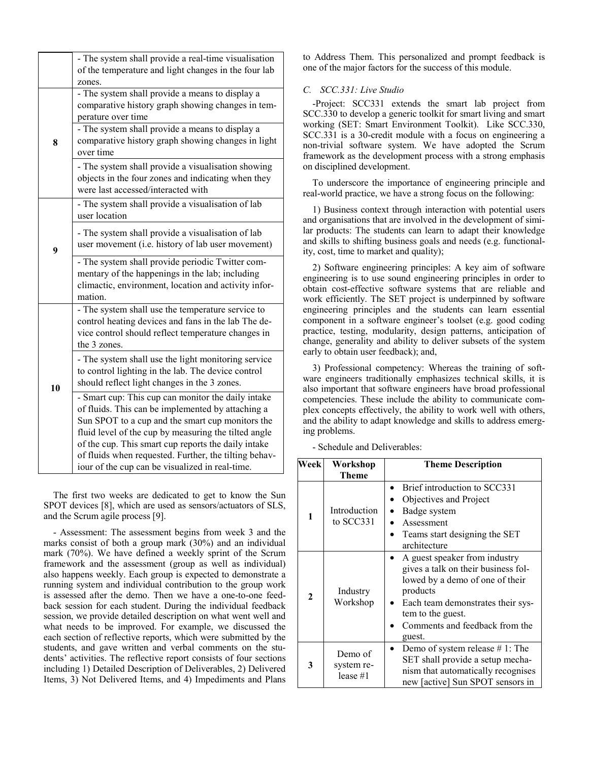|    | - The system shall provide a real-time visualisation<br>of the temperature and light changes in the four lab<br>zones.                                                                                                                                                                                                                                                                 |
|----|----------------------------------------------------------------------------------------------------------------------------------------------------------------------------------------------------------------------------------------------------------------------------------------------------------------------------------------------------------------------------------------|
| 8  | - The system shall provide a means to display a<br>comparative history graph showing changes in tem-<br>perature over time<br>- The system shall provide a means to display a<br>comparative history graph showing changes in light                                                                                                                                                    |
|    | over time<br>- The system shall provide a visualisation showing<br>objects in the four zones and indicating when they<br>were last accessed/interacted with                                                                                                                                                                                                                            |
| 9  | - The system shall provide a visualisation of lab<br>user location                                                                                                                                                                                                                                                                                                                     |
|    | - The system shall provide a visualisation of lab<br>user movement (i.e. history of lab user movement)                                                                                                                                                                                                                                                                                 |
|    | - The system shall provide periodic Twitter com-<br>mentary of the happenings in the lab; including<br>climactic, environment, location and activity infor-<br>mation.                                                                                                                                                                                                                 |
| 10 | - The system shall use the temperature service to<br>control heating devices and fans in the lab The de-<br>vice control should reflect temperature changes in<br>the 3 zones.                                                                                                                                                                                                         |
|    | - The system shall use the light monitoring service<br>to control lighting in the lab. The device control<br>should reflect light changes in the 3 zones.                                                                                                                                                                                                                              |
|    | - Smart cup: This cup can monitor the daily intake<br>of fluids. This can be implemented by attaching a<br>Sun SPOT to a cup and the smart cup monitors the<br>fluid level of the cup by measuring the tilted angle<br>of the cup. This smart cup reports the daily intake<br>of fluids when requested. Further, the tilting behav-<br>iour of the cup can be visualized in real-time. |

The first two weeks are dedicated to get to know the Sun SPOT devices [8], which are used as sensors/actuators of SLS, and the Scrum agile process [9].

- Assessment: The assessment begins from week 3 and the marks consist of both a group mark (30%) and an individual mark (70%). We have defined a weekly sprint of the Scrum framework and the assessment (group as well as individual) also happens weekly. Each group is expected to demonstrate a running system and individual contribution to the group work is assessed after the demo. Then we have a one-to-one feedback session for each student. During the individual feedback session, we provide detailed description on what went well and what needs to be improved. For example, we discussed the each section of reflective reports, which were submitted by the students, and gave written and verbal comments on the students' activities. The reflective report consists of four sections including 1) Detailed Description of Deliverables, 2) Delivered Items, 3) Not Delivered Items, and 4) Impediments and Plans

to Address Them. This personalized and prompt feedback is one of the major factors for the success of this module.

## *C. SCC.331: Live Studio*

-Project: SCC331 extends the smart lab project from SCC.330 to develop a generic toolkit for smart living and smart working (SET: Smart Environment Toolkit). Like SCC.330, SCC.331 is a 30-credit module with a focus on engineering a non-trivial software system. We have adopted the Scrum framework as the development process with a strong emphasis on disciplined development.

To underscore the importance of engineering principle and real-world practice, we have a strong focus on the following:

1) Business context through interaction with potential users and organisations that are involved in the development of similar products: The students can learn to adapt their knowledge and skills to shifting business goals and needs (e.g. functionality, cost, time to market and quality);

2) Software engineering principles: A key aim of software engineering is to use sound engineering principles in order to obtain cost-effective software systems that are reliable and work efficiently. The SET project is underpinned by software engineering principles and the students can learn essential component in a software engineer's toolset (e.g. good coding practice, testing, modularity, design patterns, anticipation of change, generality and ability to deliver subsets of the system early to obtain user feedback); and,

3) Professional competency: Whereas the training of software engineers traditionally emphasizes technical skills, it is also important that software engineers have broad professional competencies. These include the ability to communicate complex concepts effectively, the ability to work well with others, and the ability to adapt knowledge and skills to address emerging problems.

- Schedule and Deliverables:

| Week         | Workshop<br>Theme                   | <b>Theme Description</b>                                                                                                                                                                                                  |
|--------------|-------------------------------------|---------------------------------------------------------------------------------------------------------------------------------------------------------------------------------------------------------------------------|
| 1            | Introduction<br>to SCC331           | Brief introduction to SCC331<br>Objectives and Project<br>Badge system<br>Assessment<br>Teams start designing the SET<br>architecture                                                                                     |
| $\mathbf{2}$ | Industry<br>Workshop                | A guest speaker from industry<br>gives a talk on their business fol-<br>lowed by a demo of one of their<br>products<br>Each team demonstrates their sys-<br>tem to the guest.<br>Comments and feedback from the<br>guest. |
| 3            | Demo of<br>system re-<br>lease $#1$ | Demo of system release $# 1$ : The<br>SET shall provide a setup mecha-<br>nism that automatically recognises<br>new [active] Sun SPOT sensors in                                                                          |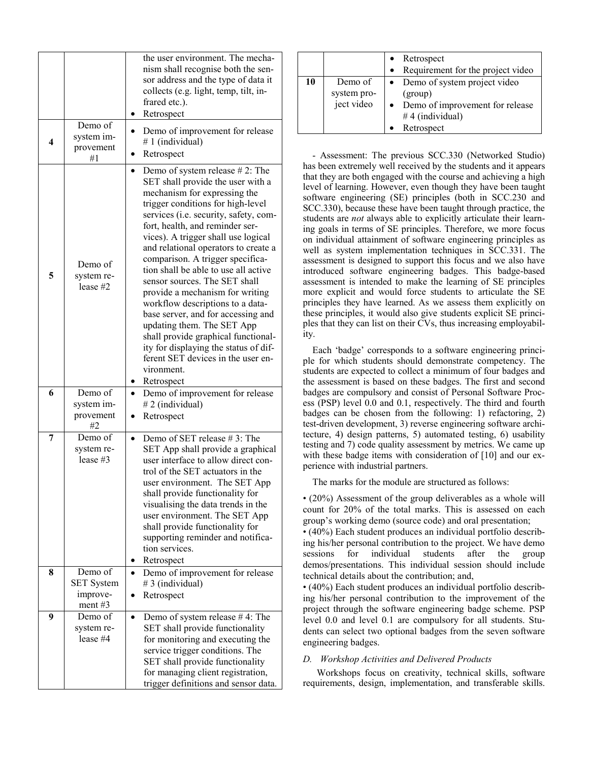|   |                                                | the user environment. The mecha-<br>nism shall recognise both the sen-<br>sor address and the type of data it<br>collects (e.g. light, temp, tilt, in-<br>frared etc.).<br>Retrospect                                                                                                                                                                                                                                                                                                                                                                                                                                                                                                                                          |
|---|------------------------------------------------|--------------------------------------------------------------------------------------------------------------------------------------------------------------------------------------------------------------------------------------------------------------------------------------------------------------------------------------------------------------------------------------------------------------------------------------------------------------------------------------------------------------------------------------------------------------------------------------------------------------------------------------------------------------------------------------------------------------------------------|
| 4 | Demo of<br>system im-<br>provement<br>#1       | Demo of improvement for release<br># 1 (individual)<br>Retrospect                                                                                                                                                                                                                                                                                                                                                                                                                                                                                                                                                                                                                                                              |
| 5 | Demo of<br>system re-<br>lease $#2$            | Demo of system release $# 2$ : The<br>$\bullet$<br>SET shall provide the user with a<br>mechanism for expressing the<br>trigger conditions for high-level<br>services (i.e. security, safety, com-<br>fort, health, and reminder ser-<br>vices). A trigger shall use logical<br>and relational operators to create a<br>comparison. A trigger specifica-<br>tion shall be able to use all active<br>sensor sources. The SET shall<br>provide a mechanism for writing<br>workflow descriptions to a data-<br>base server, and for accessing and<br>updating them. The SET App<br>shall provide graphical functional-<br>ity for displaying the status of dif-<br>ferent SET devices in the user en-<br>vironment.<br>Retrospect |
| 6 | Demo of<br>system im-<br>provement<br>#2       | Demo of improvement for release<br>$\bullet$<br># 2 (individual)<br>Retrospect                                                                                                                                                                                                                                                                                                                                                                                                                                                                                                                                                                                                                                                 |
| 7 | Demo of<br>system re-<br>lease $#3$            | Demo of SET release $# 3$ : The<br>SET App shall provide a graphical<br>user interface to allow direct con-<br>trol of the SET actuators in the<br>user environment. The SET App<br>shall provide functionality for<br>visualising the data trends in the<br>user environment. The SET App<br>shall provide functionality for<br>supporting reminder and notifica-<br>tion services.<br>Retrospect                                                                                                                                                                                                                                                                                                                             |
| 8 | Demo of<br><b>SET System</b><br>improve-       | Demo of improvement for release<br># 3 (individual)<br>Retrospect                                                                                                                                                                                                                                                                                                                                                                                                                                                                                                                                                                                                                                                              |
| 9 | ment $#3$<br>Demo of<br>system re-<br>lease #4 | Demo of system release #4: The<br>SET shall provide functionality<br>for monitoring and executing the<br>service trigger conditions. The<br>SET shall provide functionality<br>for managing client registration,<br>trigger definitions and sensor data.                                                                                                                                                                                                                                                                                                                                                                                                                                                                       |

|    |                                      | Retrospect<br>Requirement for the project video                                                             |
|----|--------------------------------------|-------------------------------------------------------------------------------------------------------------|
| 10 | Demo of<br>system pro-<br>ject video | Demo of system project video<br>(group)<br>Demo of improvement for release<br>#4 (individual)<br>Retrospect |

- Assessment: The previous SCC.330 (Networked Studio) has been extremely well received by the students and it appears that they are both engaged with the course and achieving a high level of learning. However, even though they have been taught software engineering (SE) principles (both in SCC.230 and SCC.330), because these have been taught through practice, the students are *not* always able to explicitly articulate their learning goals in terms of SE principles. Therefore, we more focus on individual attainment of software engineering principles as well as system implementation techniques in SCC.331. The assessment is designed to support this focus and we also have introduced software engineering badges. This badge-based assessment is intended to make the learning of SE principles more explicit and would force students to articulate the SE principles they have learned. As we assess them explicitly on these principles, it would also give students explicit SE principles that they can list on their CVs, thus increasing employability.

Each 'badge' corresponds to a software engineering principle for which students should demonstrate competency. The students are expected to collect a minimum of four badges and the assessment is based on these badges. The first and second badges are compulsory and consist of Personal Software Process (PSP) level 0.0 and 0.1, respectively. The third and fourth badges can be chosen from the following: 1) refactoring, 2) test-driven development, 3) reverse engineering software architecture, 4) design patterns, 5) automated testing, 6) usability testing and 7) code quality assessment by metrics. We came up with these badge items with consideration of [10] and our experience with industrial partners.

The marks for the module are structured as follows:

• (20%) Assessment of the group deliverables as a whole will count for 20% of the total marks. This is assessed on each group's working demo (source code) and oral presentation;

• (40%) Each student produces an individual portfolio describing his/her personal contribution to the project. We have demo sessions for individual students after the group demos/presentations. This individual session should include technical details about the contribution; and,

• (40%) Each student produces an individual portfolio describing his/her personal contribution to the improvement of the project through the software engineering badge scheme. PSP level 0.0 and level 0.1 are compulsory for all students. Students can select two optional badges from the seven software engineering badges.

## *D. Workshop Activities and Delivered Products*

Workshops focus on creativity, technical skills, software requirements, design, implementation, and transferable skills.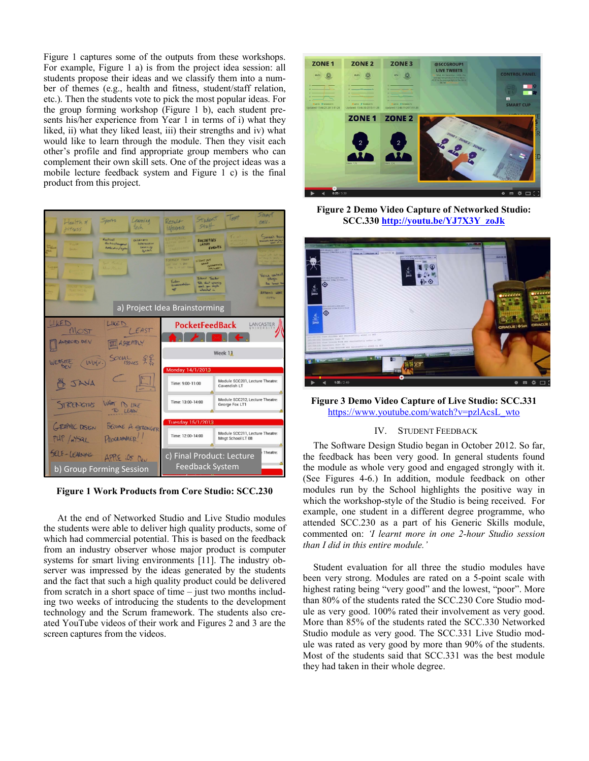Figure 1 captures some of the outputs from these workshops. For example, Figure 1 a) is from the project idea session: all students propose their ideas and we classify them into a number of themes (e.g., health and fitness, student/staff relation, etc.). Then the students vote to pick the most popular ideas. For the group forming workshop (Figure 1 b), each student presents his/her experience from Year 1 in terms of i) what they liked, ii) what they liked least, iii) their strengths and iv) what would like to learn through the module. Then they visit each other's profile and find appropriate group members who can complement their own skill sets. One of the project ideas was a mobile lecture feedback system and Figure 1 c) is the final product from this project.



**Figure 1 Work Products from Core Studio: SCC.230** 

At the end of Networked Studio and Live Studio modules the students were able to deliver high quality products, some of which had commercial potential. This is based on the feedback from an industry observer whose major product is computer systems for smart living environments [11]. The industry observer was impressed by the ideas generated by the students and the fact that such a high quality product could be delivered from scratch in a short space of time – just two months including two weeks of introducing the students to the development technology and the Scrum framework. The students also created YouTube videos of their work and Figures 2 and 3 are the screen captures from the videos.



**Figure 2 Demo Video Capture of Networked Studio: SCC.330 http://youtu.be/YJ7X3Y\_zoJk**



**Figure 3 Demo Video Capture of Live Studio: SCC.331**  https://www.youtube.com/watch?v=pzlAcsL\_wto

### IV. STUDENT FEEDBACK

The Software Design Studio began in October 2012. So far, the feedback has been very good. In general students found the module as whole very good and engaged strongly with it. (See Figures 4-6.) In addition, module feedback on other modules run by the School highlights the positive way in which the workshop-style of the Studio is being received. For example, one student in a different degree programme, who attended SCC.230 as a part of his Generic Skills module, commented on: *'I learnt more in one 2-hour Studio session than I did in this entire module.'* 

Student evaluation for all three the studio modules have been very strong. Modules are rated on a 5-point scale with highest rating being "very good" and the lowest, "poor". More than 80% of the students rated the SCC.230 Core Studio module as very good. 100% rated their involvement as very good. More than 85% of the students rated the SCC.330 Networked Studio module as very good. The SCC.331 Live Studio module was rated as very good by more than 90% of the students. Most of the students said that SCC.331 was the best module they had taken in their whole degree.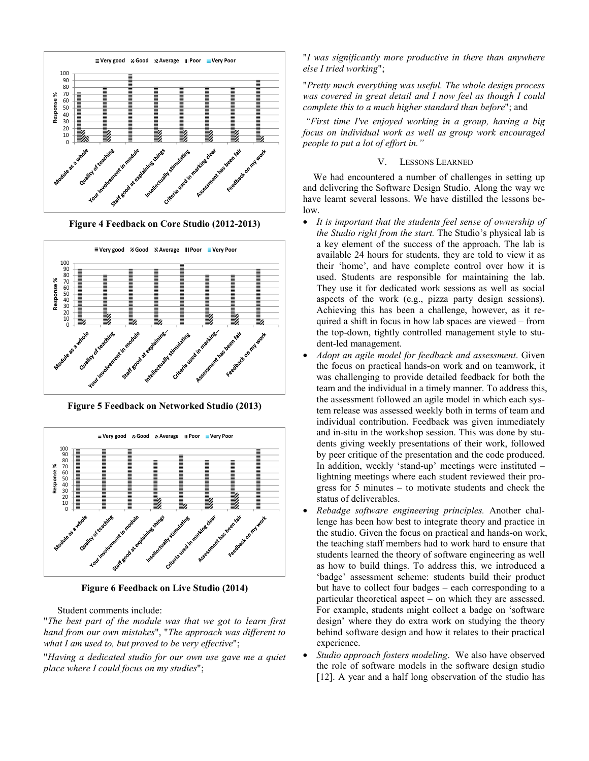

**Figure 4 Feedback on Core Studio (2012-2013)** 



**Figure 5 Feedback on Networked Studio (2013)** 



**Figure 6 Feedback on Live Studio (2014)** 

Student comments include:

"*The best part of the module was that we got to learn first hand from our own mistakes*", "*The approach was different to what I am used to, but proved to be very effective*";

"*Having a dedicated studio for our own use gave me a quiet place where I could focus on my studies*";

"*I was significantly more productive in there than anywhere else I tried working*";

"*Pretty much everything was useful. The whole design process was covered in great detail and I now feel as though I could complete this to a much higher standard than before*"; and

 *"First time I've enjoyed working in a group, having a big focus on individual work as well as group work encouraged people to put a lot of effort in."*

## V. LESSONS LEARNED

We had encountered a number of challenges in setting up and delivering the Software Design Studio. Along the way we have learnt several lessons. We have distilled the lessons below.

- *It is important that the students feel sense of ownership of the Studio right from the start.* The Studio's physical lab is a key element of the success of the approach. The lab is available 24 hours for students, they are told to view it as their 'home', and have complete control over how it is used. Students are responsible for maintaining the lab. They use it for dedicated work sessions as well as social aspects of the work (e.g., pizza party design sessions). Achieving this has been a challenge, however, as it required a shift in focus in how lab spaces are viewed – from the top-down, tightly controlled management style to student-led management.
- *Adopt an agile model for feedback and assessment*. Given the focus on practical hands-on work and on teamwork, it was challenging to provide detailed feedback for both the team and the individual in a timely manner. To address this, the assessment followed an agile model in which each system release was assessed weekly both in terms of team and individual contribution. Feedback was given immediately and in-situ in the workshop session. This was done by students giving weekly presentations of their work, followed by peer critique of the presentation and the code produced. In addition, weekly 'stand-up' meetings were instituted – lightning meetings where each student reviewed their progress for 5 minutes – to motivate students and check the status of deliverables.
- *Rebadge software engineering principles.* Another challenge has been how best to integrate theory and practice in the studio. Given the focus on practical and hands-on work, the teaching staff members had to work hard to ensure that students learned the theory of software engineering as well as how to build things. To address this, we introduced a 'badge' assessment scheme: students build their product but have to collect four badges – each corresponding to a particular theoretical aspect – on which they are assessed. For example, students might collect a badge on 'software design' where they do extra work on studying the theory behind software design and how it relates to their practical experience.
- *Studio approach fosters modeling*. We also have observed the role of software models in the software design studio [12]. A year and a half long observation of the studio has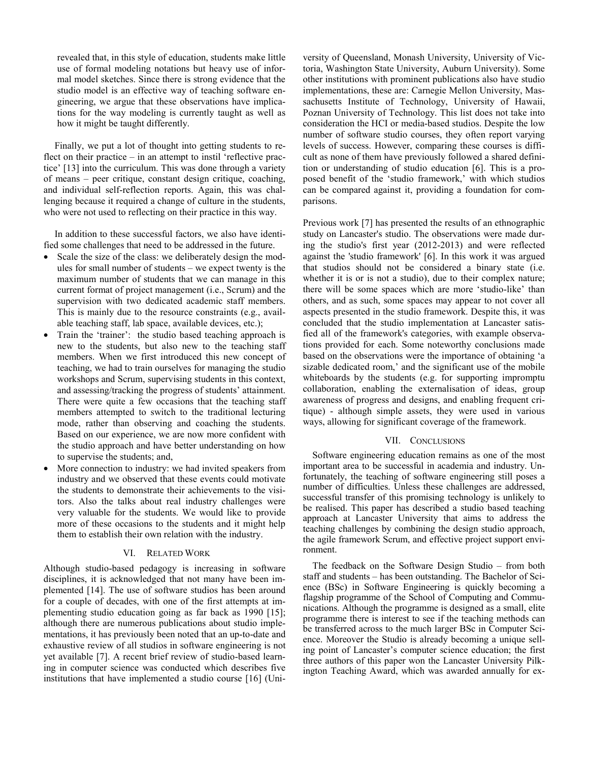revealed that, in this style of education, students make little use of formal modeling notations but heavy use of informal model sketches. Since there is strong evidence that the studio model is an effective way of teaching software engineering, we argue that these observations have implications for the way modeling is currently taught as well as how it might be taught differently.

Finally, we put a lot of thought into getting students to reflect on their practice – in an attempt to instil 'reflective practice' [13] into the curriculum. This was done through a variety of means – peer critique, constant design critique, coaching, and individual self-reflection reports. Again, this was challenging because it required a change of culture in the students, who were not used to reflecting on their practice in this way.

In addition to these successful factors, we also have identified some challenges that need to be addressed in the future.

- Scale the size of the class: we deliberately design the modules for small number of students – we expect twenty is the maximum number of students that we can manage in this current format of project management (i.e., Scrum) and the supervision with two dedicated academic staff members. This is mainly due to the resource constraints (e.g., available teaching staff, lab space, available devices, etc.);
- Train the 'trainer': the studio based teaching approach is new to the students, but also new to the teaching staff members. When we first introduced this new concept of teaching, we had to train ourselves for managing the studio workshops and Scrum, supervising students in this context, and assessing/tracking the progress of students' attainment. There were quite a few occasions that the teaching staff members attempted to switch to the traditional lecturing mode, rather than observing and coaching the students. Based on our experience, we are now more confident with the studio approach and have better understanding on how to supervise the students; and,
- More connection to industry: we had invited speakers from industry and we observed that these events could motivate the students to demonstrate their achievements to the visitors. Also the talks about real industry challenges were very valuable for the students. We would like to provide more of these occasions to the students and it might help them to establish their own relation with the industry.

### VI. RELATED WORK

Although studio-based pedagogy is increasing in software disciplines, it is acknowledged that not many have been implemented [14]. The use of software studios has been around for a couple of decades, with one of the first attempts at implementing studio education going as far back as 1990 [15]; although there are numerous publications about studio implementations, it has previously been noted that an up-to-date and exhaustive review of all studios in software engineering is not yet available [7]. A recent brief review of studio-based learning in computer science was conducted which describes five institutions that have implemented a studio course [16] (University of Queensland, Monash University, University of Victoria, Washington State University, Auburn University). Some other institutions with prominent publications also have studio implementations, these are: Carnegie Mellon University, Massachusetts Institute of Technology, University of Hawaii, Poznan University of Technology. This list does not take into consideration the HCI or media-based studios. Despite the low number of software studio courses, they often report varying levels of success. However, comparing these courses is difficult as none of them have previously followed a shared definition or understanding of studio education [6]. This is a proposed benefit of the 'studio framework,' with which studios can be compared against it, providing a foundation for comparisons.

Previous work [7] has presented the results of an ethnographic study on Lancaster's studio. The observations were made during the studio's first year (2012-2013) and were reflected against the 'studio framework' [6]. In this work it was argued that studios should not be considered a binary state (i.e. whether it is or is not a studio), due to their complex nature; there will be some spaces which are more 'studio-like' than others, and as such, some spaces may appear to not cover all aspects presented in the studio framework. Despite this, it was concluded that the studio implementation at Lancaster satisfied all of the framework's categories, with example observations provided for each. Some noteworthy conclusions made based on the observations were the importance of obtaining 'a sizable dedicated room,' and the significant use of the mobile whiteboards by the students (e.g. for supporting impromptu collaboration, enabling the externalisation of ideas, group awareness of progress and designs, and enabling frequent critique) - although simple assets, they were used in various ways, allowing for significant coverage of the framework.

#### VII. CONCLUSIONS

Software engineering education remains as one of the most important area to be successful in academia and industry. Unfortunately, the teaching of software engineering still poses a number of difficulties. Unless these challenges are addressed, successful transfer of this promising technology is unlikely to be realised. This paper has described a studio based teaching approach at Lancaster University that aims to address the teaching challenges by combining the design studio approach, the agile framework Scrum, and effective project support environment.

The feedback on the Software Design Studio – from both staff and students – has been outstanding. The Bachelor of Science (BSc) in Software Engineering is quickly becoming a flagship programme of the School of Computing and Communications. Although the programme is designed as a small, elite programme there is interest to see if the teaching methods can be transferred across to the much larger BSc in Computer Science. Moreover the Studio is already becoming a unique selling point of Lancaster's computer science education; the first three authors of this paper won the Lancaster University Pilkington Teaching Award, which was awarded annually for ex